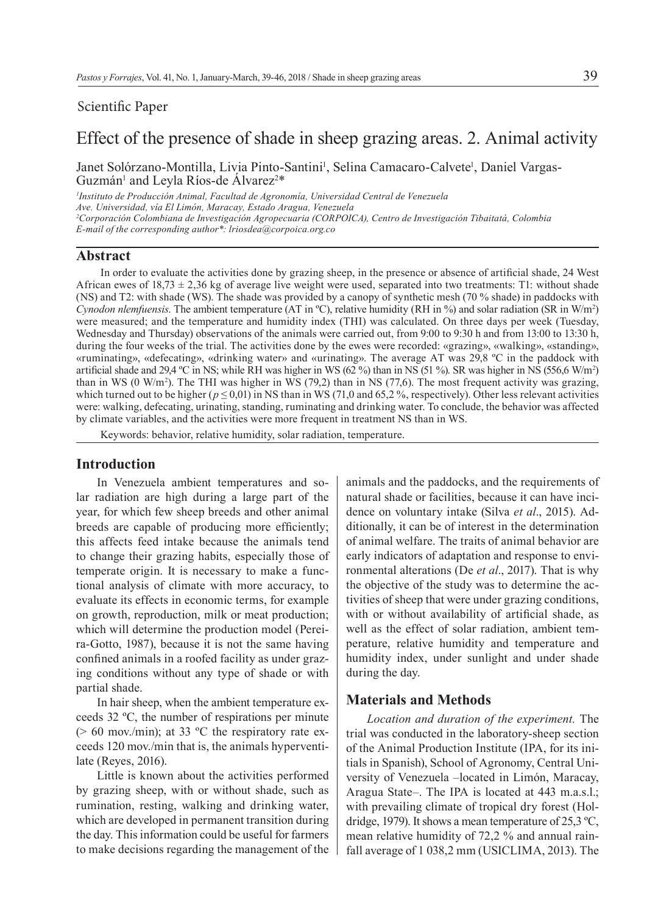## Scientific Paper

# Effect of the presence of shade in sheep grazing areas. 2. Animal activity

Janet Solórzano-Montilla, Livia Pinto-Santini<sup>1</sup>, Selina Camacaro-Calvete<sup>1</sup>, Daniel Vargas-Guzmán<sup>1</sup> and Leyla Ríos-de Álvarez<sup>2\*</sup>

*1 Instituto de Producción Animal, Facultad de Agronomía, Universidad Central de Venezuela Ave. Universidad, vía El Limón, Maracay, Estado Aragua, Venezuela 2 Corporación Colombiana de Investigación Agropecuaria (CORPOICA), Centro de Investigación Tibaitatá, Colombia E-mail of the corresponding author\*: lriosdea@corpoica.org.co*

## **Abstract**

In order to evaluate the activities done by grazing sheep, in the presence or absence of artificial shade, 24 West African ewes of  $18,73 \pm 2,36$  kg of average live weight were used, separated into two treatments: T1: without shade (NS) and T2: with shade (WS). The shade was provided by a canopy of synthetic mesh (70 % shade) in paddocks with *Cynodon nlemfuensis*. The ambient temperature (AT in  $\degree$ C), relative humidity (RH in  $\degree$ ) and solar radiation (SR in W/m<sup>2</sup>) were measured; and the temperature and humidity index (THI) was calculated. On three days per week (Tuesday, Wednesday and Thursday) observations of the animals were carried out, from 9:00 to 9:30 h and from 13:00 to 13:30 h, during the four weeks of the trial. The activities done by the ewes were recorded: «grazing», «walking», «standing», «ruminating», «defecating», «drinking water» and «urinating». The average AT was 29,8 ºC in the paddock with artificial shade and 29,4 °C in NS; while RH was higher in WS  $(62\%)$  than in NS  $(51\%)$ . SR was higher in NS  $(556,6\text{ W/m}^2)$ than in WS  $(0 \text{ W/m}^2)$ . The THI was higher in WS  $(79,2)$  than in NS  $(77,6)$ . The most frequent activity was grazing, which turned out to be higher ( $p \le 0.01$ ) in NS than in WS (71,0 and 65,2%, respectively). Other less relevant activities were: walking, defecating, urinating, standing, ruminating and drinking water. To conclude, the behavior was affected by climate variables, and the activities were more frequent in treatment NS than in WS.

Keywords: behavior, relative humidity, solar radiation, temperature.

## **Introduction**

In Venezuela ambient temperatures and solar radiation are high during a large part of the year, for which few sheep breeds and other animal breeds are capable of producing more efficiently; this affects feed intake because the animals tend to change their grazing habits, especially those of temperate origin. It is necessary to make a functional analysis of climate with more accuracy, to evaluate its effects in economic terms, for example on growth, reproduction, milk or meat production; which will determine the production model (Pereira-Gotto, 1987), because it is not the same having confined animals in a roofed facility as under grazing conditions without any type of shade or with partial shade.

In hair sheep, when the ambient temperature exceeds 32 ºC, the number of respirations per minute ( $> 60$  mov./min); at 33 °C the respiratory rate exceeds 120 mov./min that is, the animals hyperventilate (Reyes, 2016).

Little is known about the activities performed by grazing sheep, with or without shade, such as rumination, resting, walking and drinking water, which are developed in permanent transition during the day. This information could be useful for farmers to make decisions regarding the management of the

animals and the paddocks, and the requirements of natural shade or facilities, because it can have incidence on voluntary intake (Silva *et al*., 2015). Additionally, it can be of interest in the determination of animal welfare. The traits of animal behavior are early indicators of adaptation and response to environmental alterations (De *et al*., 2017). That is why the objective of the study was to determine the activities of sheep that were under grazing conditions, with or without availability of artificial shade, as well as the effect of solar radiation, ambient temperature, relative humidity and temperature and humidity index, under sunlight and under shade during the day.

#### **Materials and Methods**

*Location and duration of the experiment.* The trial was conducted in the laboratory-sheep section of the Animal Production Institute (IPA, for its initials in Spanish), School of Agronomy, Central University of Venezuela –located in Limón, Maracay, Aragua State–. The IPA is located at 443 m.a.s.l.; with prevailing climate of tropical dry forest (Holdridge, 1979). It shows a mean temperature of 25,3 ºC, mean relative humidity of 72,2 % and annual rainfall average of 1 038,2 mm (USICLIMA, 2013). The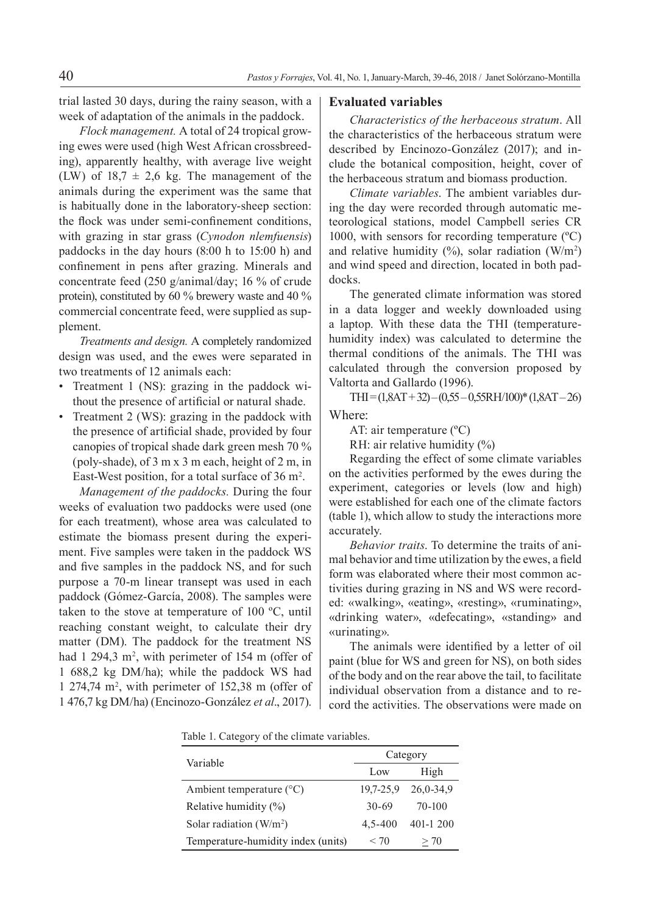trial lasted 30 days, during the rainy season, with a week of adaptation of the animals in the paddock.

*Flock management.* A total of 24 tropical growing ewes were used (high West African crossbreeding), apparently healthy, with average live weight (LW) of  $18.7 \pm 2.6$  kg. The management of the animals during the experiment was the same that is habitually done in the laboratory-sheep section: the flock was under semi-confinement conditions, with grazing in star grass (*Cynodon nlemfuensis*) paddocks in the day hours (8:00 h to 15:00 h) and confinement in pens after grazing. Minerals and concentrate feed (250 g/animal/day; 16 % of crude protein), constituted by 60 % brewery waste and 40 % commercial concentrate feed, were supplied as supplement.

*Treatments and design.* A completely randomized design was used, and the ewes were separated in two treatments of 12 animals each:

- Treatment 1 (NS): grazing in the paddock without the presence of artificial or natural shade.
- Treatment 2 (WS): grazing in the paddock with the presence of artificial shade, provided by four canopies of tropical shade dark green mesh 70 % (poly-shade), of 3 m x 3 m each, height of 2 m, in East-West position, for a total surface of  $36 \text{ m}^2$ .

*Management of the paddocks.* During the four weeks of evaluation two paddocks were used (one for each treatment), whose area was calculated to estimate the biomass present during the experiment. Five samples were taken in the paddock WS and five samples in the paddock NS, and for such purpose a 70-m linear transept was used in each paddock (Gómez-García, 2008). The samples were taken to the stove at temperature of 100 ºC, until reaching constant weight, to calculate their dry matter (DM). The paddock for the treatment NS had  $1\,294,3\,$  m<sup>2</sup>, with perimeter of 154 m (offer of 1 688,2 kg DM/ha); while the paddock WS had 1 274,74 m2 , with perimeter of 152,38 m (offer of 1 476,7 kg DM/ha) (Encinozo-González *et al*., 2017).

#### **Evaluated variables**

*Characteristics of the herbaceous stratum*. All the characteristics of the herbaceous stratum were described by Encinozo-González (2017); and include the botanical composition, height, cover of the herbaceous stratum and biomass production.

*Climate variables*. The ambient variables during the day were recorded through automatic meteorological stations, model Campbell series CR 1000, with sensors for recording temperature  $({}^{\circ}C)$ and relative humidity  $(\%)$ , solar radiation  $(W/m^2)$ and wind speed and direction, located in both paddocks.

The generated climate information was stored in a data logger and weekly downloaded using a laptop. With these data the THI (temperaturehumidity index) was calculated to determine the thermal conditions of the animals. The THI was calculated through the conversion proposed by Valtorta and Gallardo (1996).

 $THI = (1, 8AT + 32) - (0, 55 - 0, 55RH/100)^* (1, 8AT - 26)$ Where:

AT: air temperature (ºC)

RH: air relative humidity (%)

Regarding the effect of some climate variables on the activities performed by the ewes during the experiment, categories or levels (low and high) were established for each one of the climate factors (table 1), which allow to study the interactions more accurately.

*Behavior traits*. To determine the traits of animal behavior and time utilization by the ewes, a field form was elaborated where their most common activities during grazing in NS and WS were recorded: «walking», «eating», «resting», «ruminating», «drinking water», «defecating», «standing» and «urinating».

The animals were identified by a letter of oil paint (blue for WS and green for NS), on both sides of the body and on the rear above the tail, to facilitate individual observation from a distance and to record the activities. The observations were made on

Table 1. Category of the climate variables.

| Variable                           | Category  |           |
|------------------------------------|-----------|-----------|
|                                    | Low       | High      |
| Ambient temperature $(^{\circ}C)$  | 19,7-25,9 | 26,0-34,9 |
| Relative humidity $(\%)$           | $30-69$   | 70-100    |
| Solar radiation $(W/m^2)$          | 4.5-400   | 401-1 200 |
| Temperature-humidity index (units) | < 70      | > 70      |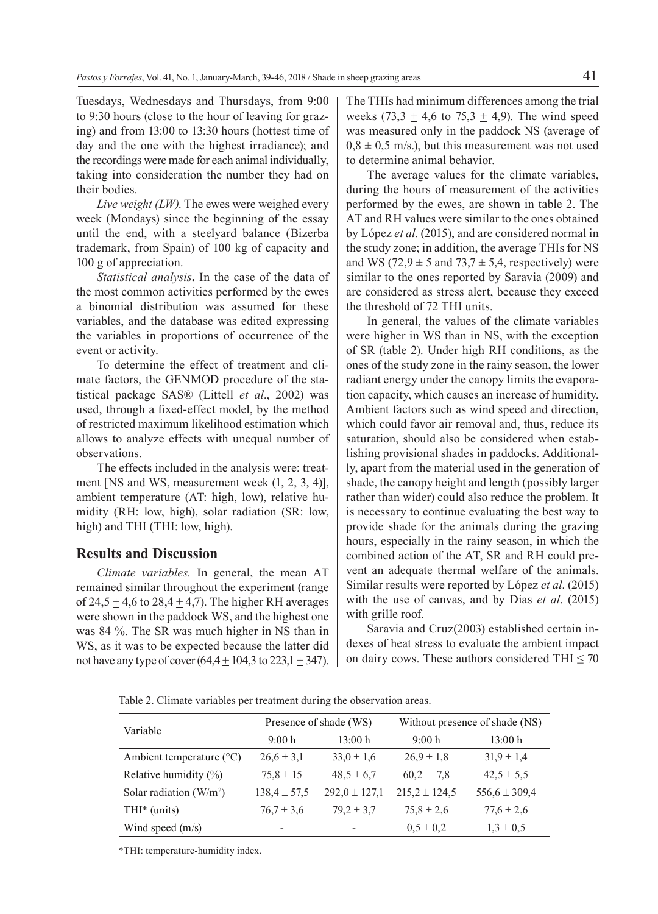Tuesdays, Wednesdays and Thursdays, from 9:00 to 9:30 hours (close to the hour of leaving for grazing) and from 13:00 to 13:30 hours (hottest time of day and the one with the highest irradiance); and the recordings were made for each animal individually, taking into consideration the number they had on their bodies.

*Live weight (LW)*. The ewes were weighed every week (Mondays) since the beginning of the essay until the end, with a steelyard balance (Bizerba trademark, from Spain) of 100 kg of capacity and 100 g of appreciation.

*Statistical analysis***.** In the case of the data of the most common activities performed by the ewes a binomial distribution was assumed for these variables, and the database was edited expressing the variables in proportions of occurrence of the event or activity.

To determine the effect of treatment and climate factors, the GENMOD procedure of the statistical package SAS® (Littell *et al*., 2002) was used, through a fixed-effect model, by the method of restricted maximum likelihood estimation which allows to analyze effects with unequal number of observations.

The effects included in the analysis were: treatment [NS and WS, measurement week (1, 2, 3, 4)], ambient temperature (AT: high, low), relative humidity (RH: low, high), solar radiation (SR: low, high) and THI (THI: low, high).

### **Results and Discussion**

*Climate variables.* In general, the mean AT remained similar throughout the experiment (range of 24,5  $\pm$  4,6 to 28,4  $\pm$  4,7). The higher RH averages were shown in the paddock WS, and the highest one was 84 %. The SR was much higher in NS than in WS, as it was to be expected because the latter did not have any type of cover  $(64.4 \pm 104.3 \text{ to } 223.1 \pm 347)$ .

The THIs had minimum differences among the trial weeks (73,3  $\pm$  4,6 to 75,3  $\pm$  4,9). The wind speed was measured only in the paddock NS (average of  $0.8 \pm 0.5$  m/s.), but this measurement was not used to determine animal behavior.

The average values for the climate variables, during the hours of measurement of the activities performed by the ewes, are shown in table 2. The AT and RH values were similar to the ones obtained by López *et al*. (2015), and are considered normal in the study zone; in addition, the average THIs for NS and WS (72,9  $\pm$  5 and 73,7  $\pm$  5,4, respectively) were similar to the ones reported by Saravia (2009) and are considered as stress alert, because they exceed the threshold of 72 THI units.

In general, the values of the climate variables were higher in WS than in NS, with the exception of SR (table 2). Under high RH conditions, as the ones of the study zone in the rainy season, the lower radiant energy under the canopy limits the evaporation capacity, which causes an increase of humidity. Ambient factors such as wind speed and direction, which could favor air removal and, thus, reduce its saturation, should also be considered when establishing provisional shades in paddocks. Additionally, apart from the material used in the generation of shade, the canopy height and length (possibly larger rather than wider) could also reduce the problem. It is necessary to continue evaluating the best way to provide shade for the animals during the grazing hours, especially in the rainy season, in which the combined action of the AT, SR and RH could prevent an adequate thermal welfare of the animals. Similar results were reported by López *et al*. (2015) with the use of canvas, and by Dias *et al*. (2015) with grille roof.

Saravia and Cruz(2003) established certain indexes of heat stress to evaluate the ambient impact on dairy cows. These authors considered THI  $\leq$  70

Table 2. Climate variables per treatment during the observation areas.

| Variable                          | Presence of shade (WS) |                   | Without presence of shade (NS) |                   |
|-----------------------------------|------------------------|-------------------|--------------------------------|-------------------|
|                                   | 9:00h                  | 13:00 h           | 9:00 h                         | 13:00 h           |
| Ambient temperature $(^{\circ}C)$ | $26.6 \pm 3.1$         | $33.0 \pm 1.6$    | $26.9 \pm 1.8$                 | $31.9 \pm 1.4$    |
| Relative humidity (%)             | $75.8 \pm 15$          | $48.5 \pm 6.7$    | $60.2 \pm 7.8$                 | $42.5 \pm 5.5$    |
| Solar radiation $(W/m^2)$         | $138.4 \pm 57.5$       | $292.0 \pm 127.1$ | $215.2 \pm 124.5$              | $556.6 \pm 309.4$ |
| THI* (units)                      | $76.7 \pm 3.6$         | $79.2 \pm 3.7$    | $75.8 \pm 2.6$                 | $77.6 \pm 2.6$    |
| Wind speed $(m/s)$                |                        |                   | $0.5 \pm 0.2$                  | $1,3 \pm 0.5$     |

\*THI: temperature-humidity index.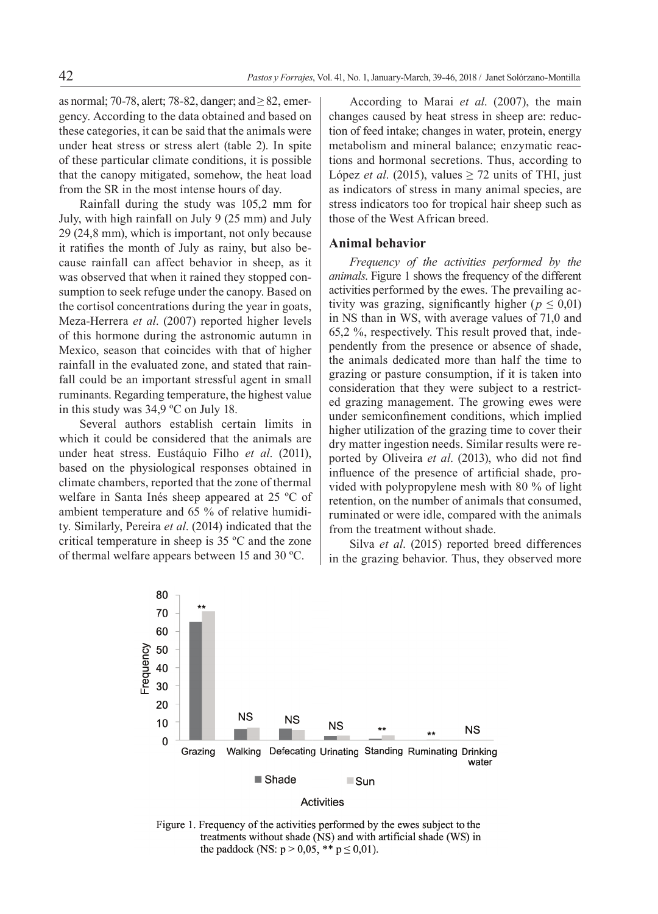as normal; 70-78, alert; 78-82, danger; and ≥ 82, emergency. According to the data obtained and based on these categories, it can be said that the animals were under heat stress or stress alert (table 2). In spite of these particular climate conditions, it is possible that the canopy mitigated, somehow, the heat load from the SR in the most intense hours of day.

Rainfall during the study was 105,2 mm for July, with high rainfall on July 9 (25 mm) and July 29 (24,8 mm), which is important, not only because it ratifies the month of July as rainy, but also because rainfall can affect behavior in sheep, as it was observed that when it rained they stopped consumption to seek refuge under the canopy. Based on the cortisol concentrations during the year in goats, Meza-Herrera *et al*. (2007) reported higher levels of this hormone during the astronomic autumn in Mexico, season that coincides with that of higher rainfall in the evaluated zone, and stated that rainfall could be an important stressful agent in small ruminants. Regarding temperature, the highest value in this study was 34,9 ºC on July 18.

Several authors establish certain limits in which it could be considered that the animals are under heat stress. Eustáquio Filho *et al*. (2011), based on the physiological responses obtained in climate chambers, reported that the zone of thermal welfare in Santa Inés sheep appeared at 25 ºC of ambient temperature and 65 % of relative humidity. Similarly, Pereira *et al*. (2014) indicated that the critical temperature in sheep is 35 ºC and the zone of thermal welfare appears between 15 and 30 ºC.

According to Marai *et al*. (2007), the main changes caused by heat stress in sheep are: reduction of feed intake; changes in water, protein, energy metabolism and mineral balance; enzymatic reactions and hormonal secretions. Thus, according to López *et al.* (2015), values  $\geq$  72 units of THI, just as indicators of stress in many animal species, are stress indicators too for tropical hair sheep such as those of the West African breed.

#### **Animal behavior**

*Frequency of the activities performed by the animals*. Figure 1 shows the frequency of the different activities performed by the ewes. The prevailing activity was grazing, significantly higher ( $p \le 0.01$ ) in NS than in WS, with average values of 71,0 and 65,2 %, respectively. This result proved that, independently from the presence or absence of shade, the animals dedicated more than half the time to grazing or pasture consumption, if it is taken into consideration that they were subject to a restricted grazing management. The growing ewes were under semiconfinement conditions, which implied higher utilization of the grazing time to cover their dry matter ingestion needs. Similar results were reported by Oliveira et al. (2013), who did not find influence of the presence of artificial shade, provided with polypropylene mesh with 80 % of light retention, on the number of animals that consumed, ruminated or were idle, compared with the animals from the treatment without shade.

Silva *et al*. (2015) reported breed differences in the grazing behavior. Thus, they observed more





Figure 1. Frequency of the activities performed by the ewes subject to the treatments without shade (NS) and with artificial shade (WS) in the paddock (NS:  $p > 0.05$ , \*\*  $p \le 0.01$ ).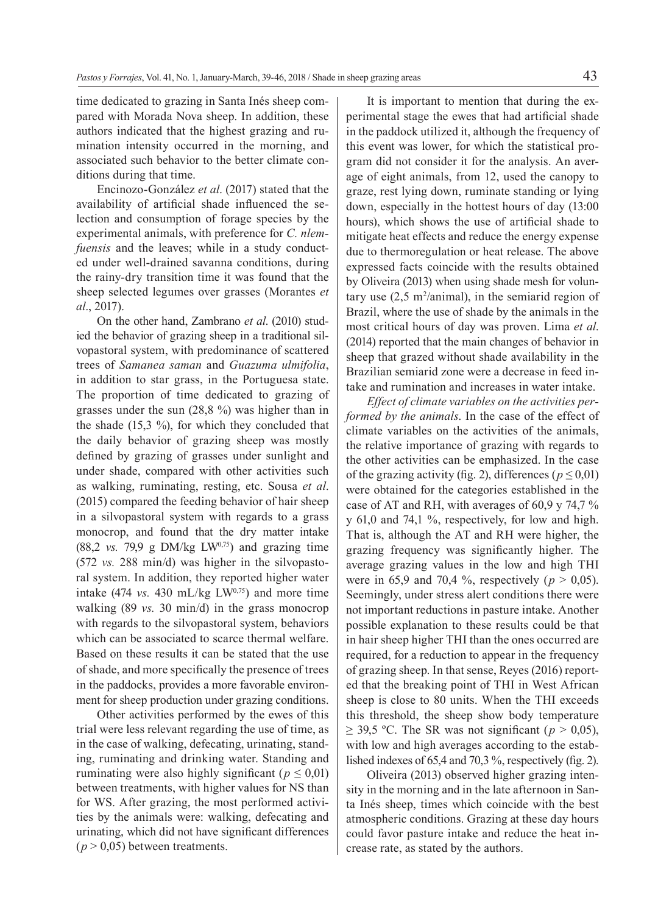time dedicated to grazing in Santa Inés sheep compared with Morada Nova sheep. In addition, these authors indicated that the highest grazing and rumination intensity occurred in the morning, and associated such behavior to the better climate conditions during that time.

Encinozo-González *et al*. (2017) stated that the availability of artificial shade influenced the selection and consumption of forage species by the experimental animals, with preference for *C. nlemfuensis* and the leaves; while in a study conducted under well-drained savanna conditions, during the rainy-dry transition time it was found that the sheep selected legumes over grasses (Morantes *et al*., 2017).

On the other hand, Zambrano *et al*. (2010) studied the behavior of grazing sheep in a traditional silvopastoral system, with predominance of scattered trees of *Samanea saman* and *Guazuma ulmifolia*, in addition to star grass, in the Portuguesa state. The proportion of time dedicated to grazing of grasses under the sun (28,8 %) was higher than in the shade  $(15,3\%)$ , for which they concluded that the daily behavior of grazing sheep was mostly defined by grazing of grasses under sunlight and under shade, compared with other activities such as walking, ruminating, resting, etc. Sousa *et al*. (2015) compared the feeding behavior of hair sheep in a silvopastoral system with regards to a grass monocrop, and found that the dry matter intake  $(88,2 \text{ vs. } 79,9 \text{ g DM/kg LW}^{0,75})$  and grazing time (572 *vs.* 288 min/d) was higher in the silvopastoral system. In addition, they reported higher water intake  $(474 \text{ vs. } 430 \text{ mL/kg LW}^{0.75})$  and more time walking (89 *vs.* 30 min/d) in the grass monocrop with regards to the silvopastoral system, behaviors which can be associated to scarce thermal welfare. Based on these results it can be stated that the use of shade, and more specifically the presence of trees in the paddocks, provides a more favorable environment for sheep production under grazing conditions.

Other activities performed by the ewes of this trial were less relevant regarding the use of time, as in the case of walking, defecating, urinating, standing, ruminating and drinking water. Standing and ruminating were also highly significant ( $p \leq 0.01$ ) between treatments, with higher values for NS than for WS. After grazing, the most performed activities by the animals were: walking, defecating and urinating, which did not have significant differences  $(p > 0.05)$  between treatments.

It is important to mention that during the experimental stage the ewes that had artificial shade in the paddock utilized it, although the frequency of this event was lower, for which the statistical program did not consider it for the analysis. An average of eight animals, from 12, used the canopy to graze, rest lying down, ruminate standing or lying down, especially in the hottest hours of day (13:00 hours), which shows the use of artificial shade to mitigate heat effects and reduce the energy expense due to thermoregulation or heat release. The above expressed facts coincide with the results obtained by Oliveira (2013) when using shade mesh for voluntary use  $(2,5 \text{ m}^2/\text{animal})$ , in the semiarid region of Brazil, where the use of shade by the animals in the most critical hours of day was proven. Lima *et al*. (2014) reported that the main changes of behavior in sheep that grazed without shade availability in the Brazilian semiarid zone were a decrease in feed intake and rumination and increases in water intake.

*Effect of climate variables on the activities performed by the animals*. In the case of the effect of climate variables on the activities of the animals, the relative importance of grazing with regards to the other activities can be emphasized. In the case of the grazing activity (fig. 2), differences ( $p \le 0.01$ ) were obtained for the categories established in the case of AT and RH, with averages of 60,9 y 74,7 % y 61,0 and 74,1 %, respectively, for low and high. That is, although the AT and RH were higher, the grazing frequency was significantly higher. The average grazing values in the low and high THI were in 65,9 and 70,4 %, respectively ( $p > 0.05$ ). Seemingly, under stress alert conditions there were not important reductions in pasture intake. Another possible explanation to these results could be that in hair sheep higher THI than the ones occurred are required, for a reduction to appear in the frequency of grazing sheep. In that sense, Reyes (2016) reported that the breaking point of THI in West African sheep is close to 80 units. When the THI exceeds this threshold, the sheep show body temperature  $\geq$  39,5 °C. The SR was not significant ( $p > 0.05$ ), with low and high averages according to the established indexes of 65,4 and 70,3 %, respectively (fig. 2).

Oliveira (2013) observed higher grazing intensity in the morning and in the late afternoon in Santa Inés sheep, times which coincide with the best atmospheric conditions. Grazing at these day hours could favor pasture intake and reduce the heat increase rate, as stated by the authors.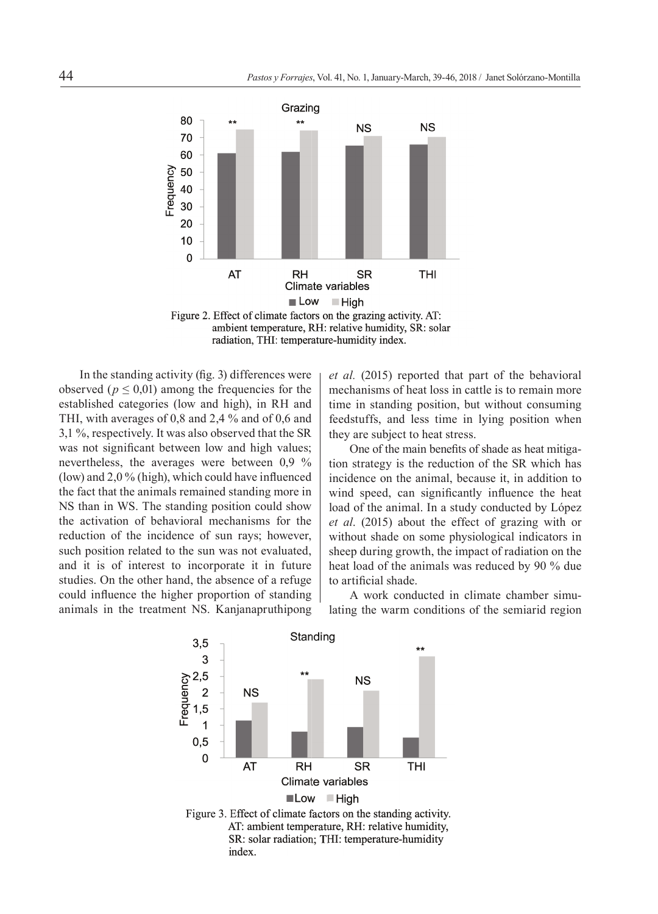

ambient temperature, RH: relative humidity, SR: solar radiation, THI: temperature-humidity index.

In the standing activity (fig. 3) differences were observed ( $p \le 0.01$ ) among the frequencies for the established categories (low and high), in RH and THI, with averages of 0,8 and 2,4 % and of 0,6 and 3,1 %, respectively. It was also observed that the SR was not significant between low and high values; nevertheless, the averages were between 0,9 % (low) and  $2.0\%$  (high), which could have influenced the fact that the animals remained standing more in NS than in WS. The standing position could show the activation of behavioral mechanisms for the reduction of the incidence of sun rays; however, such position related to the sun was not evaluated, and it is of interest to incorporate it in future studies. On the other hand, the absence of a refuge could influence the higher proportion of standing animals in the treatment NS. Kanjanapruthipong

*et al.* (2015) reported that part of the behavioral mechanisms of heat loss in cattle is to remain more time in standing position, but without consuming feedstuffs, and less time in lying position when they are subject to heat stress.

One of the main benefits of shade as heat mitigation strategy is the reduction of the SR which has incidence on the animal, because it, in addition to wind speed, can significantly influence the heat load of the animal. In a study conducted by López *et al*. (2015) about the effect of grazing with or without shade on some physiological indicators in sheep during growth, the impact of radiation on the heat load of the animals was reduced by 90 % due to artificial shade.

A work conducted in climate chamber simulating the warm conditions of the semiarid region



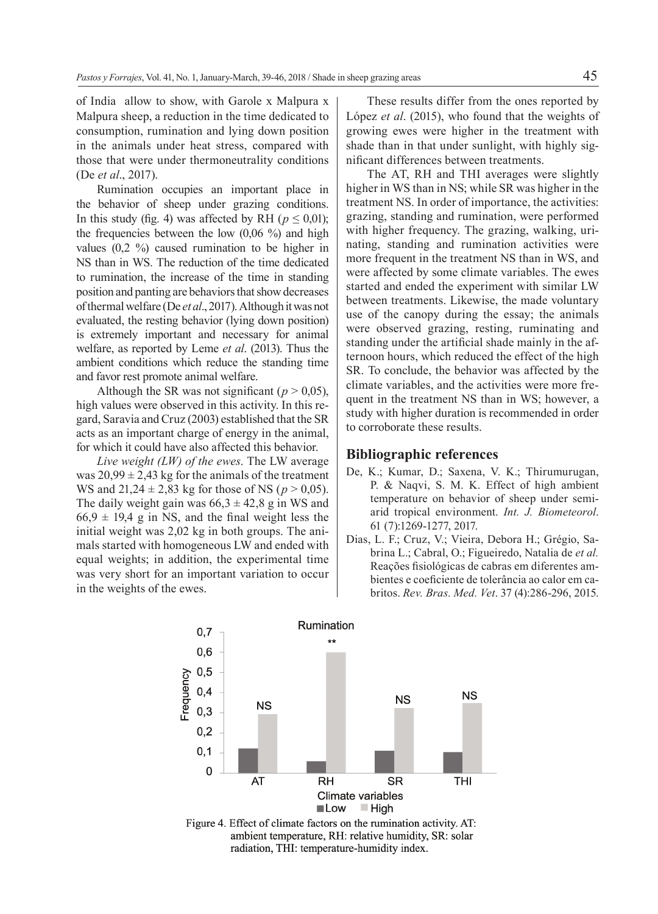of India allow to show, with Garole x Malpura x Malpura sheep, a reduction in the time dedicated to consumption, rumination and lying down position in the animals under heat stress, compared with those that were under thermoneutrality conditions (De *et al*., 2017).

Rumination occupies an important place in the behavior of sheep under grazing conditions. In this study (fig. 4) was affected by RH ( $p \le 0.01$ ); the frequencies between the low  $(0.06 \%)$  and high values (0,2 %) caused rumination to be higher in NS than in WS. The reduction of the time dedicated to rumination, the increase of the time in standing position and panting are behaviors that show decreases of thermal welfare (De *et al*., 2017). Although it was not evaluated, the resting behavior (lying down position) is extremely important and necessary for animal welfare, as reported by Leme *et al*. (2013). Thus the ambient conditions which reduce the standing time and favor rest promote animal welfare.

Although the SR was not significant ( $p > 0.05$ ), high values were observed in this activity. In this regard, Saravia and Cruz (2003) established that the SR acts as an important charge of energy in the animal, for which it could have also affected this behavior.

*Live weight (LW) of the ewes*. The LW average was  $20.99 \pm 2.43$  kg for the animals of the treatment WS and  $21,24 \pm 2,83$  kg for those of NS ( $p > 0,05$ ). The daily weight gain was  $66,3 \pm 42,8$  g in WS and  $66,9 \pm 19,4$  g in NS, and the final weight less the initial weight was 2,02 kg in both groups. The animals started with homogeneous LW and ended with equal weights; in addition, the experimental time was very short for an important variation to occur in the weights of the ewes.

These results differ from the ones reported by López *et al*. (2015), who found that the weights of growing ewes were higher in the treatment with shade than in that under sunlight, with highly significant differences between treatments.

The AT, RH and THI averages were slightly higher in WS than in NS; while SR was higher in the treatment NS. In order of importance, the activities: grazing, standing and rumination, were performed with higher frequency. The grazing, walking, urinating, standing and rumination activities were more frequent in the treatment NS than in WS, and were affected by some climate variables. The ewes started and ended the experiment with similar LW between treatments. Likewise, the made voluntary use of the canopy during the essay; the animals were observed grazing, resting, ruminating and standing under the artificial shade mainly in the afternoon hours, which reduced the effect of the high SR. To conclude, the behavior was affected by the climate variables, and the activities were more frequent in the treatment NS than in WS; however, a study with higher duration is recommended in order to corroborate these results.

## **Bibliographic references**

- De, K.; Kumar, D.; Saxena, V. K.; Thirumurugan, P. & Naqvi, S. M. K. Effect of high ambient temperature on behavior of sheep under semiarid tropical environment. *Int. J. Biometeorol*. 61 (7):1269-1277, 2017.
- Dias, L. F.; Cruz, V.; Vieira, Debora H.; Grégio, Sabrina L.; Cabral, O.; Figueiredo, Natalia de *et al.* Reações fisiológicas de cabras em diferentes ambientes e coeficiente de tolerância ao calor em cabritos. *Rev. Bras. Med. Vet*. 37 (4):286-296, 2015.